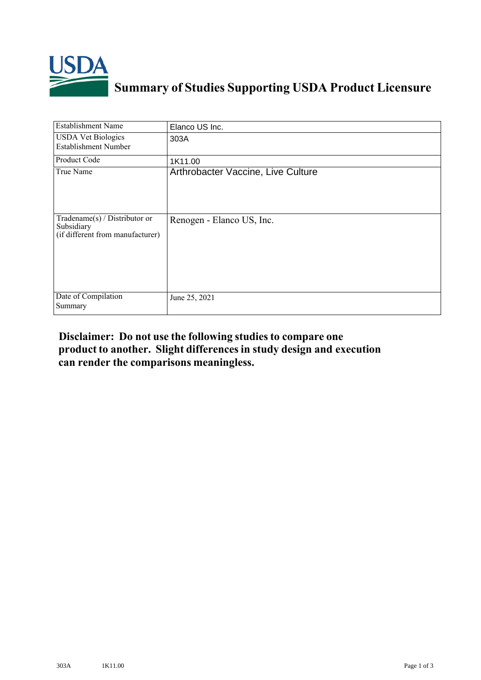

## **Summary of Studies Supporting USDA Product Licensure**

| <b>Establishment Name</b>                                                       | Elanco US Inc.                     |
|---------------------------------------------------------------------------------|------------------------------------|
| <b>USDA Vet Biologics</b><br><b>Establishment Number</b>                        | 303A                               |
| <b>Product Code</b>                                                             | 1K11.00                            |
| True Name                                                                       | Arthrobacter Vaccine, Live Culture |
| Tradename(s) / Distributor or<br>Subsidiary<br>(if different from manufacturer) | Renogen - Elanco US, Inc.          |
| Date of Compilation<br>Summary                                                  | June 25, 2021                      |

## **Disclaimer: Do not use the following studiesto compare one product to another. Slight differencesin study design and execution can render the comparisons meaningless.**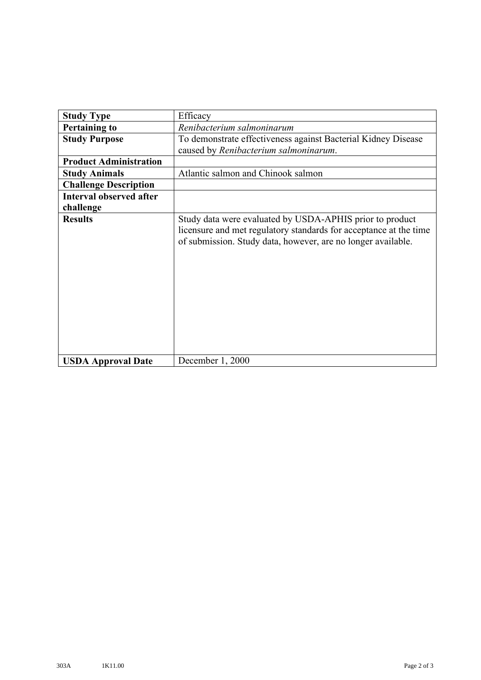| <b>Study Type</b>              | Efficacy                                                                                                                                                                                      |
|--------------------------------|-----------------------------------------------------------------------------------------------------------------------------------------------------------------------------------------------|
| <b>Pertaining to</b>           | Renibacterium salmoninarum                                                                                                                                                                    |
| <b>Study Purpose</b>           | To demonstrate effectiveness against Bacterial Kidney Disease                                                                                                                                 |
|                                | caused by Renibacterium salmoninarum.                                                                                                                                                         |
| <b>Product Administration</b>  |                                                                                                                                                                                               |
| <b>Study Animals</b>           | Atlantic salmon and Chinook salmon                                                                                                                                                            |
| <b>Challenge Description</b>   |                                                                                                                                                                                               |
| <b>Interval observed after</b> |                                                                                                                                                                                               |
| challenge                      |                                                                                                                                                                                               |
| <b>Results</b>                 | Study data were evaluated by USDA-APHIS prior to product<br>licensure and met regulatory standards for acceptance at the time<br>of submission. Study data, however, are no longer available. |
| <b>USDA Approval Date</b>      | December 1, 2000                                                                                                                                                                              |